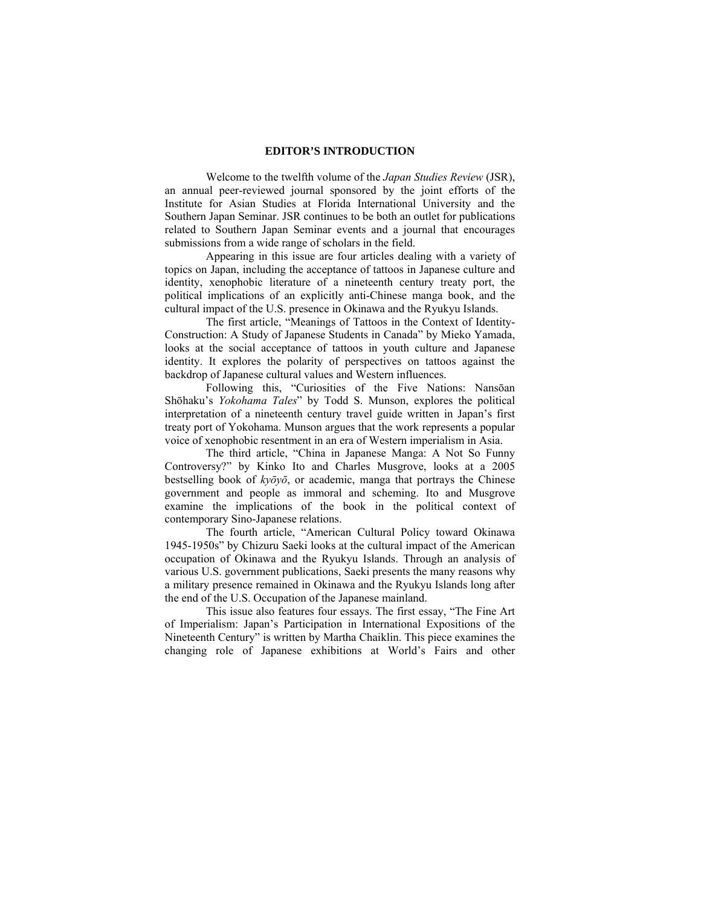## **EDITOR'S INTRODUCTION**

 Welcome to the twelfth volume of the *Japan Studies Review* (JSR), an annual peer-reviewed journal sponsored by the joint efforts of the Institute for Asian Studies at Florida International University and the Southern Japan Seminar. JSR continues to be both an outlet for publications related to Southern Japan Seminar events and a journal that encourages submissions from a wide range of scholars in the field.

 Appearing in this issue are four articles dealing with a variety of topics on Japan, including the acceptance of tattoos in Japanese culture and identity, xenophobic literature of a nineteenth century treaty port, the political implications of an explicitly anti-Chinese manga book, and the cultural impact of the U.S. presence in Okinawa and the Ryukyu Islands.

 The first article, "Meanings of Tattoos in the Context of Identity-Construction: A Study of Japanese Students in Canada" by Mieko Yamada, looks at the social acceptance of tattoos in youth culture and Japanese identity. It explores the polarity of perspectives on tattoos against the backdrop of Japanese cultural values and Western influences.

Following this, "Curiosities of the Five Nations: Nansōan Shōhaku's *Yokohama Tales*" by Todd S. Munson, explores the political interpretation of a nineteenth century travel guide written in Japan's first treaty port of Yokohama. Munson argues that the work represents a popular voice of xenophobic resentment in an era of Western imperialism in Asia.

 The third article, "China in Japanese Manga: A Not So Funny Controversy?" by Kinko Ito and Charles Musgrove, looks at a 2005 bestselling book of *kyōyō*, or academic, manga that portrays the Chinese government and people as immoral and scheming. Ito and Musgrove examine the implications of the book in the political context of contemporary Sino-Japanese relations.

 The fourth article, "American Cultural Policy toward Okinawa 1945-1950s" by Chizuru Saeki looks at the cultural impact of the American occupation of Okinawa and the Ryukyu Islands. Through an analysis of various U.S. government publications, Saeki presents the many reasons why a military presence remained in Okinawa and the Ryukyu Islands long after the end of the U.S. Occupation of the Japanese mainland.

This issue also features four essays. The first essay, "The Fine Art of Imperialism: Japan's Participation in International Expositions of the Nineteenth Century" is written by Martha Chaiklin. This piece examines the changing role of Japanese exhibitions at World's Fairs and other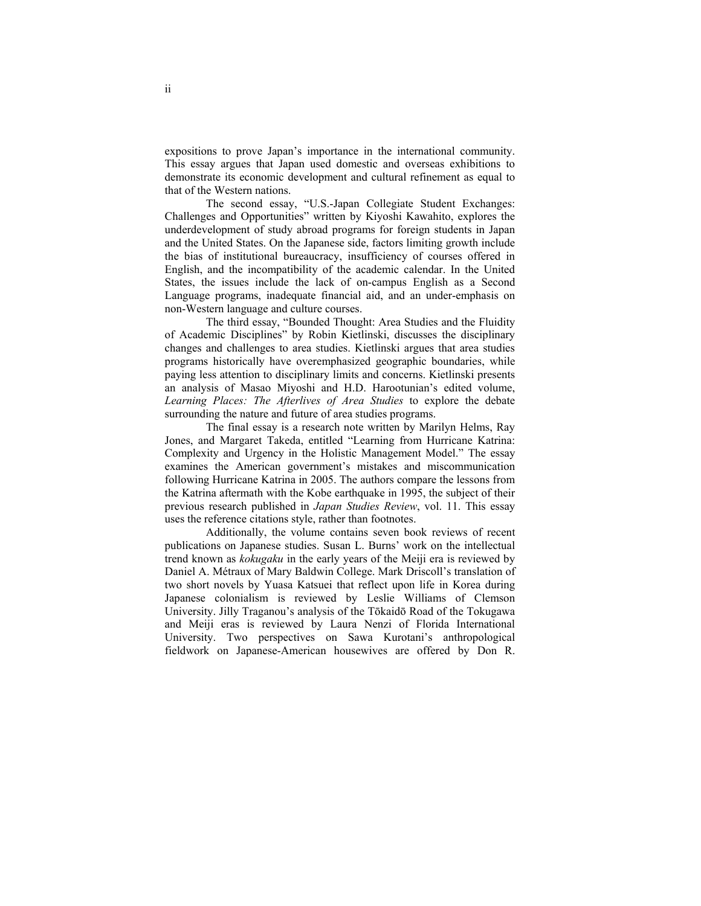expositions to prove Japan's importance in the international community. This essay argues that Japan used domestic and overseas exhibitions to demonstrate its economic development and cultural refinement as equal to that of the Western nations.

The second essay, "U.S.-Japan Collegiate Student Exchanges: Challenges and Opportunities" written by Kiyoshi Kawahito, explores the underdevelopment of study abroad programs for foreign students in Japan and the United States. On the Japanese side, factors limiting growth include the bias of institutional bureaucracy, insufficiency of courses offered in English, and the incompatibility of the academic calendar. In the United States, the issues include the lack of on-campus English as a Second Language programs, inadequate financial aid, and an under-emphasis on non-Western language and culture courses.

The third essay, "Bounded Thought: Area Studies and the Fluidity of Academic Disciplines" by Robin Kietlinski, discusses the disciplinary changes and challenges to area studies. Kietlinski argues that area studies programs historically have overemphasized geographic boundaries, while paying less attention to disciplinary limits and concerns. Kietlinski presents an analysis of Masao Miyoshi and H.D. Harootunian's edited volume, *Learning Places: The Afterlives of Area Studies* to explore the debate surrounding the nature and future of area studies programs.

The final essay is a research note written by Marilyn Helms, Ray Jones, and Margaret Takeda, entitled "Learning from Hurricane Katrina: Complexity and Urgency in the Holistic Management Model." The essay examines the American government's mistakes and miscommunication following Hurricane Katrina in 2005. The authors compare the lessons from the Katrina aftermath with the Kobe earthquake in 1995, the subject of their previous research published in *Japan Studies Review*, vol. 11. This essay uses the reference citations style, rather than footnotes.

 Additionally, the volume contains seven book reviews of recent publications on Japanese studies. Susan L. Burns' work on the intellectual trend known as *kokugaku* in the early years of the Meiji era is reviewed by Daniel A. Métraux of Mary Baldwin College. Mark Driscoll's translation of two short novels by Yuasa Katsuei that reflect upon life in Korea during Japanese colonialism is reviewed by Leslie Williams of Clemson University. Jilly Traganou's analysis of the Tōkaidō Road of the Tokugawa and Meiji eras is reviewed by Laura Nenzi of Florida International University. Two perspectives on Sawa Kurotani's anthropological fieldwork on Japanese-American housewives are offered by Don R.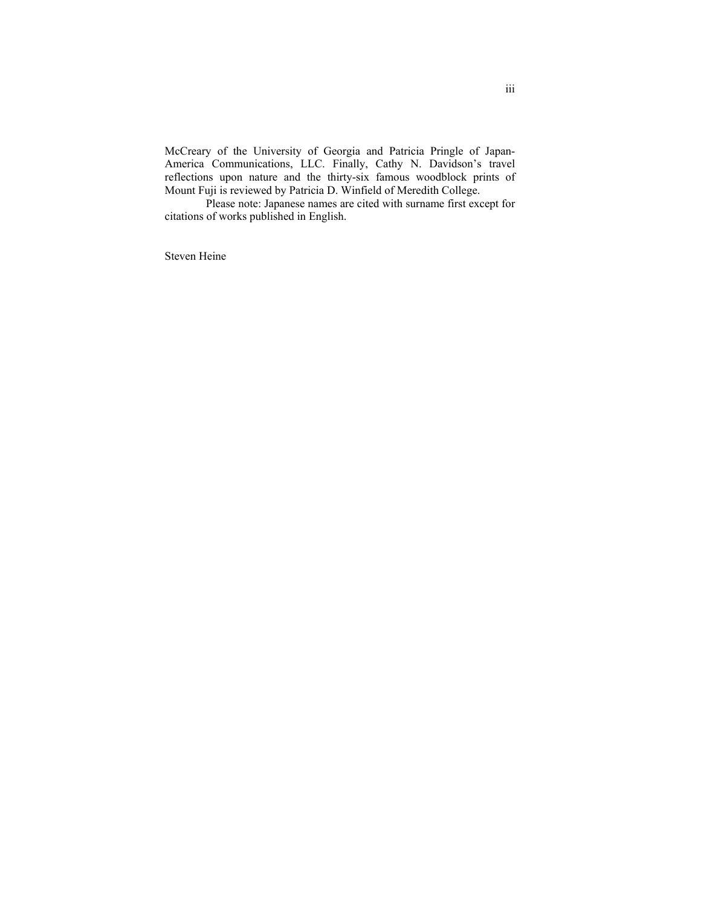McCreary of the University of Georgia and Patricia Pringle of Japan-America Communications, LLC. Finally, Cathy N. Davidson's travel reflections upon nature and the thirty-six famous woodblock prints of Mount Fuji is reviewed by Patricia D. Winfield of Meredith College.

 Please note: Japanese names are cited with surname first except for citations of works published in English.

Steven Heine